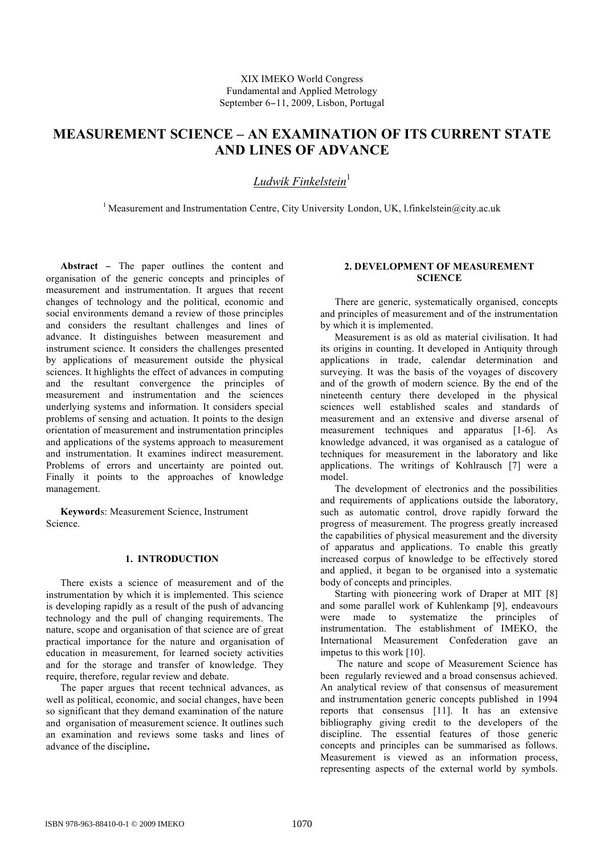# **MEASUREMENT SCIENCE – AN EXAMINATION OF ITS CURRENT STATE AND LINES OF ADVANCE**

# *Ludwik Finkelstein* 1

<sup>1</sup> Measurement and Instrumentation Centre, City University London, UK, l.finkelstein@city.ac.uk

**Abstract** − The paper outlines the content and organisation of the generic concepts and principles of measurement and instrumentation. It argues that recent changes of technology and the political, economic and social environments demand a review of those principles and considers the resultant challenges and lines of advance. It distinguishes between measurement and instrument science. It considers the challenges presented by applications of measurement outside the physical sciences. It highlights the effect of advances in computing and the resultant convergence the principles of measurement and instrumentation and the sciences underlying systems and information. It considers special problems of sensing and actuation. It points to the design orientation of measurement and instrumentation principles and applications of the systems approach to measurement and instrumentation. It examines indirect measurement. Problems of errors and uncertainty are pointed out. Finally it points to the approaches of knowledge management.

**Keyword**s: Measurement Science, Instrument Science.

# **1. INTRODUCTION**

There exists a science of measurement and of the instrumentation by which it is implemented. This science is developing rapidly as a result of the push of advancing technology and the pull of changing requirements. The nature, scope and organisation of that science are of great practical importance for the nature and organisation of education in measurement, for learned society activities and for the storage and transfer of knowledge. They require, therefore, regular review and debate.

The paper argues that recent technical advances, as well as political, economic, and social changes, have been so significant that they demand examination of the nature and organisation of measurement science. It outlines such an examination and reviews some tasks and lines of advance of the discipline**.**

# **2. DEVELOPMENT OF MEASUREMENT SCIENCE**

There are generic, systematically organised, concepts and principles of measurement and of the instrumentation by which it is implemented.

Measurement is as old as material civilisation. It had its origins in counting. It developed in Antiquity through applications in trade, calendar determination and surveying. It was the basis of the voyages of discovery and of the growth of modern science. By the end of the nineteenth century there developed in the physical sciences well established scales and standards of measurement and an extensive and diverse arsenal of measurement techniques and apparatus [1-6]. As knowledge advanced, it was organised as a catalogue of techniques for measurement in the laboratory and like applications. The writings of Kohlrausch [7] were a model.

The development of electronics and the possibilities and requirements of applications outside the laboratory, such as automatic control, drove rapidly forward the progress of measurement. The progress greatly increased the capabilities of physical measurement and the diversity of apparatus and applications. To enable this greatly increased corpus of knowledge to be effectively stored and applied, it began to be organised into a systematic body of concepts and principles.

Starting with pioneering work of Draper at MIT [8] and some parallel work of Kuhlenkamp [9], endeavours were made to systematize the principles of instrumentation. The establishment of IMEKO, the International Measurement Confederation gave an impetus to this work [10].

The nature and scope of Measurement Science has been regularly reviewed and a broad consensus achieved. An analytical review of that consensus of measurement and instrumentation generic concepts published in 1994 reports that consensus [11]. It has an extensive bibliography giving credit to the developers of the discipline. The essential features of those generic concepts and principles can be summarised as follows. Measurement is viewed as an information process, representing aspects of the external world by symbols.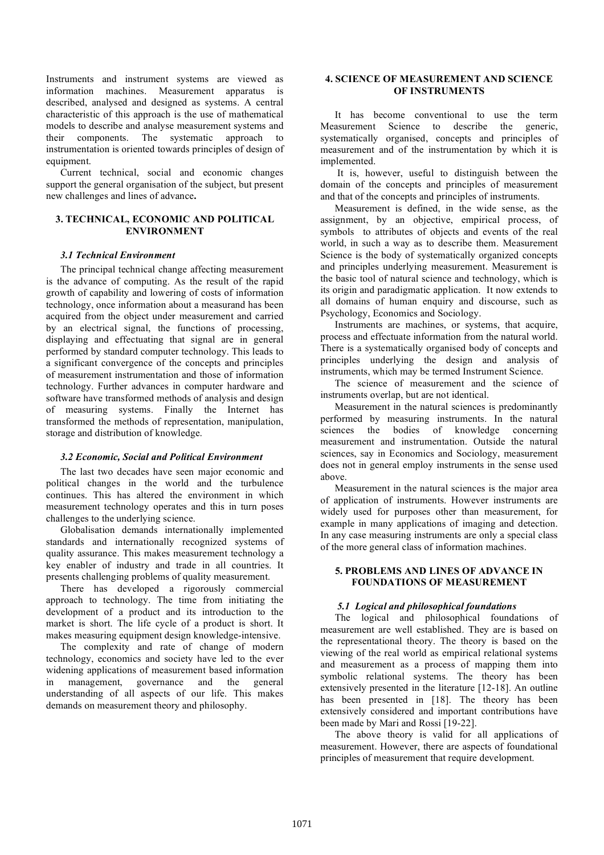Instruments and instrument systems are viewed as information machines. Measurement apparatus is described, analysed and designed as systems. A central characteristic of this approach is the use of mathematical models to describe and analyse measurement systems and their components. The systematic approach to instrumentation is oriented towards principles of design of equipment.

Current technical, social and economic changes support the general organisation of the subject, but present new challenges and lines of advance**.**

# **3. TECHNICAL, ECONOMIC AND POLITICAL ENVIRONMENT**

#### *3.1 Technical Environment*

The principal technical change affecting measurement is the advance of computing. As the result of the rapid growth of capability and lowering of costs of information technology, once information about a measurand has been acquired from the object under measurement and carried by an electrical signal, the functions of processing, displaying and effectuating that signal are in general performed by standard computer technology. This leads to a significant convergence of the concepts and principles of measurement instrumentation and those of information technology. Further advances in computer hardware and software have transformed methods of analysis and design of measuring systems. Finally the Internet has transformed the methods of representation, manipulation, storage and distribution of knowledge.

#### *3.2 Economic, Social and Political Environment*

The last two decades have seen major economic and political changes in the world and the turbulence continues. This has altered the environment in which measurement technology operates and this in turn poses challenges to the underlying science.

Globalisation demands internationally implemented standards and internationally recognized systems of quality assurance. This makes measurement technology a key enabler of industry and trade in all countries. It presents challenging problems of quality measurement.

There has developed a rigorously commercial approach to technology. The time from initiating the development of a product and its introduction to the market is short. The life cycle of a product is short. It makes measuring equipment design knowledge-intensive.

The complexity and rate of change of modern technology, economics and society have led to the ever widening applications of measurement based information in management, governance and the general understanding of all aspects of our life. This makes demands on measurement theory and philosophy.

## **4. SCIENCE OF MEASUREMENT AND SCIENCE OF INSTRUMENTS**

It has become conventional to use the term Measurement Science to describe the generic, systematically organised, concepts and principles of measurement and of the instrumentation by which it is implemented.

It is, however, useful to distinguish between the domain of the concepts and principles of measurement and that of the concepts and principles of instruments.

Measurement is defined, in the wide sense, as the assignment, by an objective, empirical process, of symbols to attributes of objects and events of the real world, in such a way as to describe them. Measurement Science is the body of systematically organized concepts and principles underlying measurement. Measurement is the basic tool of natural science and technology, which is its origin and paradigmatic application. It now extends to all domains of human enquiry and discourse, such as Psychology, Economics and Sociology.

Instruments are machines, or systems, that acquire, process and effectuate information from the natural world. There is a systematically organised body of concepts and principles underlying the design and analysis of instruments, which may be termed Instrument Science.

The science of measurement and the science of instruments overlap, but are not identical.

Measurement in the natural sciences is predominantly performed by measuring instruments. In the natural sciences the bodies of knowledge concerning measurement and instrumentation. Outside the natural sciences, say in Economics and Sociology, measurement does not in general employ instruments in the sense used above.

Measurement in the natural sciences is the major area of application of instruments. However instruments are widely used for purposes other than measurement, for example in many applications of imaging and detection. In any case measuring instruments are only a special class of the more general class of information machines.

## **5. PROBLEMS AND LINES OF ADVANCE IN FOUNDATIONS OF MEASUREMENT**

## *5.1 Logical and philosophical foundations*

The logical and philosophical foundations of measurement are well established. They are is based on the representational theory. The theory is based on the viewing of the real world as empirical relational systems and measurement as a process of mapping them into symbolic relational systems. The theory has been extensively presented in the literature [12-18]. An outline has been presented in [18]. The theory has been extensively considered and important contributions have been made by Mari and Rossi [19-22].

The above theory is valid for all applications of measurement. However, there are aspects of foundational principles of measurement that require development.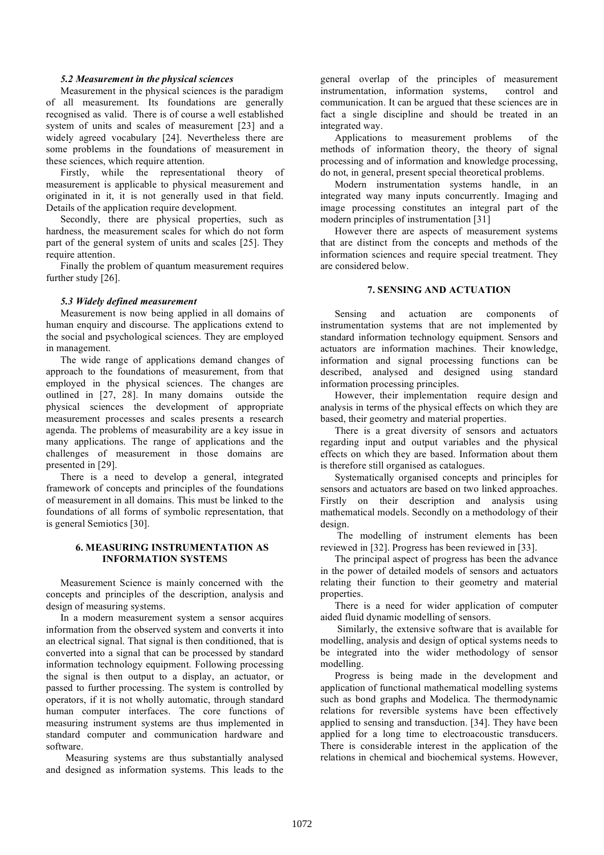#### *5.2 Measurement in the physical sciences*

Measurement in the physical sciences is the paradigm of all measurement. Its foundations are generally recognised as valid. There is of course a well established system of units and scales of measurement [23] and a widely agreed vocabulary [24]. Nevertheless there are some problems in the foundations of measurement in these sciences, which require attention.

Firstly, while the representational theory of measurement is applicable to physical measurement and originated in it, it is not generally used in that field. Details of the application require development.

Secondly, there are physical properties, such as hardness, the measurement scales for which do not form part of the general system of units and scales [25]. They require attention.

Finally the problem of quantum measurement requires further study [26].

#### *5.3 Widely defined measurement*

Measurement is now being applied in all domains of human enquiry and discourse. The applications extend to the social and psychological sciences. They are employed in management.

The wide range of applications demand changes of approach to the foundations of measurement, from that employed in the physical sciences. The changes are outlined in [27, 28]. In many domains outside the physical sciences the development of appropriate measurement processes and scales presents a research agenda. The problems of measurability are a key issue in many applications. The range of applications and the challenges of measurement in those domains are presented in [29].

There is a need to develop a general, integrated framework of concepts and principles of the foundations of measurement in all domains. This must be linked to the foundations of all forms of symbolic representation, that is general Semiotics [30].

#### **6. MEASURING INSTRUMENTATION AS INFORMATION SYSTEM**S

Measurement Science is mainly concerned with the concepts and principles of the description, analysis and design of measuring systems.

In a modern measurement system a sensor acquires information from the observed system and converts it into an electrical signal. That signal is then conditioned, that is converted into a signal that can be processed by standard information technology equipment. Following processing the signal is then output to a display, an actuator, or passed to further processing. The system is controlled by operators, if it is not wholly automatic, through standard human computer interfaces. The core functions of measuring instrument systems are thus implemented in standard computer and communication hardware and software.

Measuring systems are thus substantially analysed and designed as information systems. This leads to the

general overlap of the principles of measurement instrumentation, information systems, control and communication. It can be argued that these sciences are in fact a single discipline and should be treated in an integrated way.

Applications to measurement problems of the methods of information theory, the theory of signal processing and of information and knowledge processing, do not, in general, present special theoretical problems.

Modern instrumentation systems handle, in an integrated way many inputs concurrently. Imaging and image processing constitutes an integral part of the modern principles of instrumentation [31]

However there are aspects of measurement systems that are distinct from the concepts and methods of the information sciences and require special treatment. They are considered below.

# **7. SENSING AND ACTUATION**

Sensing and actuation are components of instrumentation systems that are not implemented by standard information technology equipment. Sensors and actuators are information machines. Their knowledge, information and signal processing functions can be described, analysed and designed using standard information processing principles.

However, their implementation require design and analysis in terms of the physical effects on which they are based, their geometry and material properties.

There is a great diversity of sensors and actuators regarding input and output variables and the physical effects on which they are based. Information about them is therefore still organised as catalogues.

Systematically organised concepts and principles for sensors and actuators are based on two linked approaches. Firstly on their description and analysis using mathematical models. Secondly on a methodology of their design.

The modelling of instrument elements has been reviewed in [32]. Progress has been reviewed in [33].

The principal aspect of progress has been the advance in the power of detailed models of sensors and actuators relating their function to their geometry and material properties.

There is a need for wider application of computer aided fluid dynamic modelling of sensors.

Similarly, the extensive software that is available for modelling, analysis and design of optical systems needs to be integrated into the wider methodology of sensor modelling.

Progress is being made in the development and application of functional mathematical modelling systems such as bond graphs and Modelica. The thermodynamic relations for reversible systems have been effectively applied to sensing and transduction. [34]. They have been applied for a long time to electroacoustic transducers. There is considerable interest in the application of the relations in chemical and biochemical systems. However,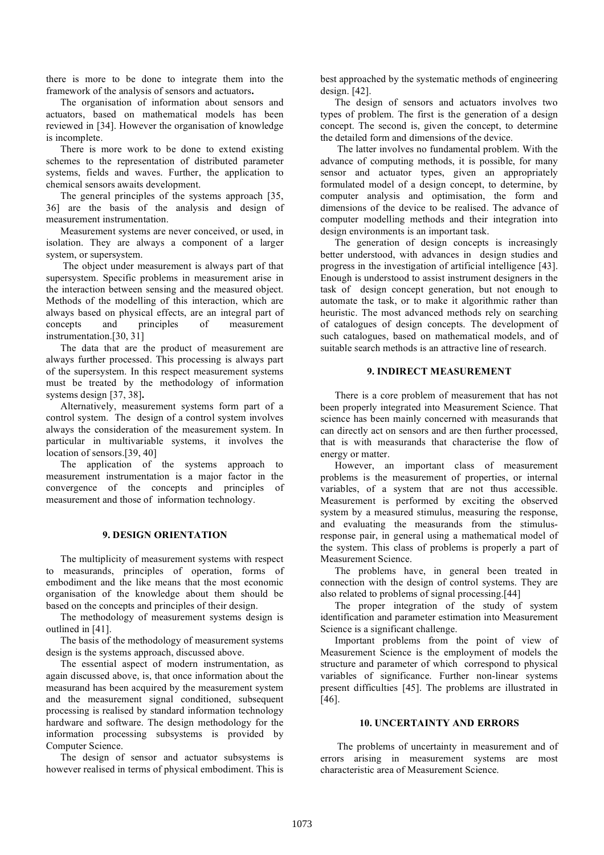there is more to be done to integrate them into the framework of the analysis of sensors and actuators**.**

The organisation of information about sensors and actuators, based on mathematical models has been reviewed in [34]. However the organisation of knowledge is incomplete.

There is more work to be done to extend existing schemes to the representation of distributed parameter systems, fields and waves. Further, the application to chemical sensors awaits development.

The general principles of the systems approach [35, 36] are the basis of the analysis and design of measurement instrumentation.

Measurement systems are never conceived, or used, in isolation. They are always a component of a larger system, or supersystem.

The object under measurement is always part of that supersystem. Specific problems in measurement arise in the interaction between sensing and the measured object. Methods of the modelling of this interaction, which are always based on physical effects, are an integral part of concepts and principles of measurement instrumentation.[30, 31]

The data that are the product of measurement are always further processed. This processing is always part of the supersystem. In this respect measurement systems must be treated by the methodology of information systems design [37, 38]**.**

Alternatively, measurement systems form part of a control system. The design of a control system involves always the consideration of the measurement system. In particular in multivariable systems, it involves the location of sensors.[39, 40]

The application of the systems approach to measurement instrumentation is a major factor in the convergence of the concepts and principles of measurement and those of information technology.

#### **9. DESIGN ORIENTATION**

The multiplicity of measurement systems with respect to measurands, principles of operation, forms of embodiment and the like means that the most economic organisation of the knowledge about them should be based on the concepts and principles of their design.

The methodology of measurement systems design is outlined in [41].

The basis of the methodology of measurement systems design is the systems approach, discussed above.

The essential aspect of modern instrumentation, as again discussed above, is, that once information about the measurand has been acquired by the measurement system and the measurement signal conditioned, subsequent processing is realised by standard information technology hardware and software. The design methodology for the information processing subsystems is provided by Computer Science.

The design of sensor and actuator subsystems is however realised in terms of physical embodiment. This is best approached by the systematic methods of engineering design. [42].

The design of sensors and actuators involves two types of problem. The first is the generation of a design concept. The second is, given the concept, to determine the detailed form and dimensions of the device.

The latter involves no fundamental problem. With the advance of computing methods, it is possible, for many sensor and actuator types, given an appropriately formulated model of a design concept, to determine, by computer analysis and optimisation, the form and dimensions of the device to be realised. The advance of computer modelling methods and their integration into design environments is an important task.

The generation of design concepts is increasingly better understood, with advances in design studies and progress in the investigation of artificial intelligence [43]. Enough is understood to assist instrument designers in the task of design concept generation, but not enough to automate the task, or to make it algorithmic rather than heuristic. The most advanced methods rely on searching of catalogues of design concepts. The development of such catalogues, based on mathematical models, and of suitable search methods is an attractive line of research.

#### **9. INDIRECT MEASUREMENT**

There is a core problem of measurement that has not been properly integrated into Measurement Science. That science has been mainly concerned with measurands that can directly act on sensors and are then further processed, that is with measurands that characterise the flow of energy or matter.

However, an important class of measurement problems is the measurement of properties, or internal variables, of a system that are not thus accessible. Measurement is performed by exciting the observed system by a measured stimulus, measuring the response, and evaluating the measurands from the stimulusresponse pair, in general using a mathematical model of the system. This class of problems is properly a part of Measurement Science.

The problems have, in general been treated in connection with the design of control systems. They are also related to problems of signal processing.[44]

The proper integration of the study of system identification and parameter estimation into Measurement Science is a significant challenge.

Important problems from the point of view of Measurement Science is the employment of models the structure and parameter of which correspond to physical variables of significance. Further non-linear systems present difficulties [45]. The problems are illustrated in [46].

#### **10. UNCERTAINTY AND ERRORS**

The problems of uncertainty in measurement and of errors arising in measurement systems are most characteristic area of Measurement Science.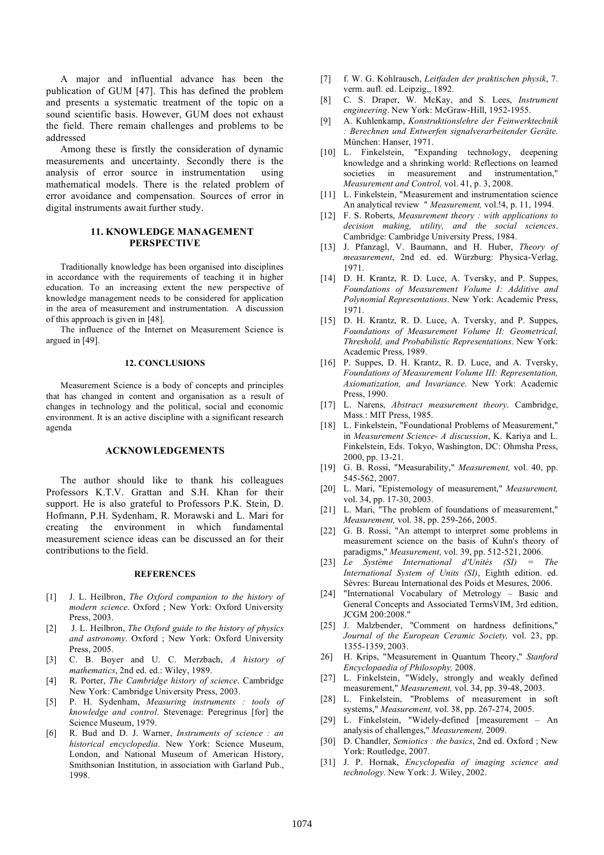A major and influential advance has been the publication of GUM [47]. This has defined the problem and presents a systematic treatment of the topic on a sound scientific basis. However, GUM does not exhaust the field. There remain challenges and problems to be addressed

Among these is firstly the consideration of dynamic measurements and uncertainty. Secondly there is the analysis of error source in instrumentation using mathematical models. There is the related problem of error avoidance and compensation. Sources of error in digital instruments await further study.

# **11. KNOWLEDGE MANAGEMENT PERSPECTIVE**

Traditionally knowledge has been organised into disciplines in accordance with the requirements of teaching it in higher education. To an increasing extent the new perspective of knowledge management needs to be considered for application in the area of measurement and instrumentation. A discussion of this approach is given in [48].

The influence of the Internet on Measurement Science is argued in [49].

## **12. CONCLUSIONS**

Measurement Science is a body of concepts and principles that has changed in content and organisation as a result of changes in technology and the political, social and economic environment. It is an active discipline with a significant research agenda

## **ACKNOWLEDGEMENTS**

The author should like to thank his colleagues Professors K.T.V. Grattan and S.H. Khan for their support. He is also grateful to Professors P.K. Stein, D. Hofmann, P.H. Sydenham, R. Morawski and L. Mari for creating the environment in which fundamental measurement science ideas can be discussed an for their contributions to the field.

### **REFERENCES**

- [1] J. L. Heilbron, *The Oxford companion to the history of modern science*. Oxford ; New York: Oxford University Press, 2003.
- [2] J. L. Heilbron, *The Oxford guide to the history of physics and astronomy*. Oxford ; New York: Oxford University Press, 2005.
- [3] C. B. Boyer and U. C. Merzbach, *A history of mathematics*, 2nd ed. ed.: Wiley, 1989.
- [4] R. Porter, *The Cambridge history of science*. Cambridge New York: Cambridge University Press, 2003.
- [5] P. H. Sydenham, *Measuring instruments : tools of knowledge and control*. Stevenage: Peregrinus [for] the Science Museum, 1979.
- [6] R. Bud and D. J. Warner, *Instruments of science : an historical encyclopedia*. New York: Science Museum, London, and National Museum of American History, Smithsonian Institution, in association with Garland Pub., 1998.
- [7] f. W. G. Kohlrausch, *Leitfaden der praktischen physik*, 7. verm. aufl. ed. Leipzig,, 1892.
- [8] C. S. Draper, W. McKay, and S. Lees, *Instrument engineering*. New York: McGraw-Hill, 1952-1955.
- [9] A. Kuhlenkamp, *Konstruktionslehre der Feinwerktechnik : Berechnen und Entwerfen signalverarbeitender Geräte*. München: Hanser, 1971.
- [10] L. Finkelstein, "Expanding technology, deepening knowledge and a shrinking world: Reflections on learned societies in measurement and instrumentation," *Measurement and Control,* vol. 41, p. 3, 2008.
- [11] L. Finkelstein, "Measurement and instrumentation science An analytical review " *Measurement,* vol.!4, p. 11, 1994.
- [12] F. S. Roberts, *Measurement theory : with applications to decision making, utility, and the social sciences*. Cambridge: Cambridge University Press, 1984.
- [13] J. Pfanzagl, V. Baumann, and H. Huber, *Theory of measurement*, 2nd ed. ed. Würzburg: Physica-Verlag, 1971.
- [14] D. H. Krantz, R. D. Luce, A. Tversky, and P. Suppes, *Foundations of Measurement Volume I: Additive and Polynomial Representations*. New York: Academic Press, 1971.
- [15] D. H. Krantz, R. D. Luce, A. Tversky, and P. Suppes, *Foundations of Measurement Volume II: Geometrical, Threshold, and Probabilistic Representations*. New York: Academic Press, 1989.
- [16] P. Suppes, D. H. Krantz, R. D. Luce, and A. Tversky, *Foundations of Measurement Volume III: Representation, Axiomatization, and Invariance*. New York: Academic Press, 1990.
- [17] L. Narens, *Abstract measurement theory*. Cambridge, Mass.: MIT Press, 1985.
- [18] L. Finkelstein, "Foundational Problems of Measurement," in *Measurement Science- A discussion*, K. Kariya and L. Finkelstein, Eds. Tokyo, Washington, DC: Ohmsha Press, 2000, pp. 13-21.
- [19] G. B. Rossi, "Measurability," *Measurement,* vol. 40, pp. 545-562, 2007.
- [20] L. Mari, "Epistemology of measurement," *Measurement,* vol. 34, pp. 17-30, 2003.
- [21] L. Mari, "The problem of foundations of measurement," *Measurement,* vol. 38, pp. 259-266, 2005.
- [22] G. B. Rossi, "An attempt to interpret some problems in measurement science on the basis of Kuhn's theory of paradigms," *Measurement,* vol. 39, pp. 512-521, 2006.
- [23] *Le Système International d'Unités (SI) = The International System of Units (SI)*, Eighth edition. ed. Sèvres: Bureau International des Poids et Mesures, 2006.
- [24] "International Vocabulary of Metrology Basic and General Concepts and Associated TermsVIM, 3rd edition, JCGM 200:2008."
- [25] J. Malzbender, "Comment on hardness definitions," *Journal of the European Ceramic Society,* vol. 23, pp. 1355-1359, 2003.
- 26] H. Krips, "Measurement in Quantum Theory," *Stanford Encyclopaedia of Philosophy,* 2008.
- [27] L. Finkelstein, "Widely, strongly and weakly defined measurement," *Measurement,* vol. 34, pp. 39-48, 2003.
- [28] L. Finkelstein, "Problems of measurement in soft systems," *Measurement,* vol. 38, pp. 267-274, 2005.
- [29] L. Finkelstein, "Widely-defined [measurement An analysis of challenges," *Measurement,* 2009.
- [30] D. Chandler, *Semiotics : the basics*, 2nd ed. Oxford ; New York: Routledge, 2007.
- [31] J. P. Hornak, *Encyclopedia of imaging science and technology*. New York: J. Wiley, 2002.